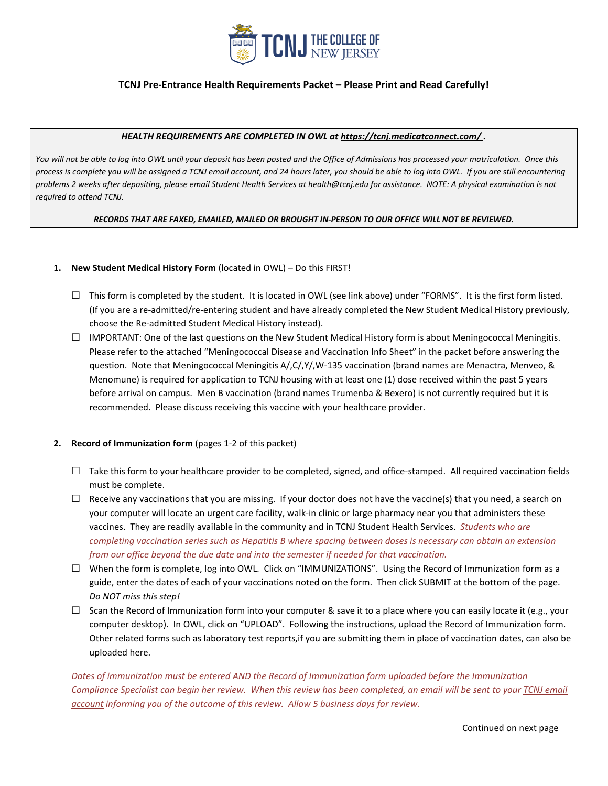

### **TCNJ Pre-Entrance Health Requirements Packet – Please Print and Read Carefully!**

#### *HEALTH REQUIREMENTS ARE COMPLETED IN OWL at<https://tcnj.medicatconnect.com/> .*

*You will not be able to log into OWL until your deposit has been posted and the Office of Admissions has processed your matriculation. Once this process is complete you will be assigned a TCNJ email account, and 24 hours later, you should be able to log into OWL. If you are still encountering problems 2 weeks after depositing, please email Student Health Services at health@tcnj.edu for assistance. NOTE: A physical examination is not required to attend TCNJ.* 

#### *RECORDS THAT ARE FAXED, EMAILED, MAILED OR BROUGHT IN-PERSON TO OUR OFFICE WILL NOT BE REVIEWED.*

#### **1. New Student Medical History Form** (located in OWL) – Do this FIRST!

- $\Box$  This form is completed by the student. It is located in OWL (see link above) under "FORMS". It is the first form listed. (If you are a re-admitted/re-entering student and have already completed the New Student Medical History previously, choose the Re-admitted Student Medical History instead).
- $\Box$  IMPORTANT: One of the last questions on the New Student Medical History form is about Meningococcal Meningitis. Please refer to the attached "Meningococcal Disease and Vaccination Info Sheet" in the packet before answering the question. Note that Meningococcal Meningitis A/,C/,Y/,W-135 vaccination (brand names are Menactra, Menveo, & Menomune) is required for application to TCNJ housing with at least one (1) dose received within the past 5 years before arrival on campus. Men B vaccination (brand names Trumenba & Bexero) is not currently required but it is recommended. Please discuss receiving this vaccine with your healthcare provider.

#### **2. Record of Immunization form** (pages 1-2 of this packet)

- $\Box$  Take this form to your healthcare provider to be completed, signed, and office-stamped. All required vaccination fields must be complete.
- $\Box$  Receive any vaccinations that you are missing. If your doctor does not have the vaccine(s) that you need, a search on your computer will locate an urgent care facility, walk-in clinic or large pharmacy near you that administers these vaccines. They are readily available in the community and in TCNJ Student Health Services. *Students who are completing vaccination series such as Hepatitis B where spacing between doses is necessary can obtain an extension from our office beyond the due date and into the semester if needed for that vaccination.*
- $\Box$  When the form is complete, log into OWL. Click on "IMMUNIZATIONS". Using the Record of Immunization form as a guide, enter the dates of each of your vaccinations noted on the form. Then click SUBMIT at the bottom of the page. *Do NOT miss this step!*
- $\Box$  Scan the Record of Immunization form into your computer & save it to a place where you can easily locate it (e.g., your computer desktop). In OWL, click on "UPLOAD". Following the instructions, upload the Record of Immunization form. Other related forms such as laboratory test reports,if you are submitting them in place of vaccination dates, can also be uploaded here.

*Dates of immunization must be entered AND the Record of Immunization form uploaded before the Immunization Compliance Specialist can begin her review. When this review has been completed, an email will be sent to your TCNJ email account informing you of the outcome of this review. Allow 5 business days for review.*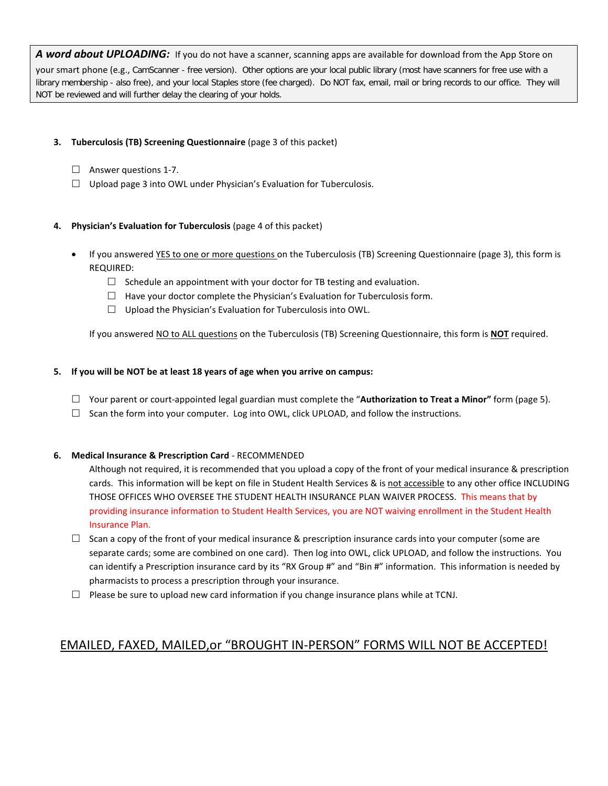*A word about UPLOADING:* If you do not have a scanner, scanning apps are available for download from the App Store on your smart phone (e.g., CamScanner - free version). Other options are your local public library (most have scanners for free use with a library membership - also free), and your local Staples store (fee charged). Do NOT fax, email, mail or bring records to our office. They will NOT be reviewed and will further delay the clearing of your holds.

## **3. Tuberculosis (TB) Screening Questionnaire** (page 3 of this packet)

- $\Box$  Answer questions 1-7.
- $\Box$  Upload page 3 into OWL under Physician's Evaluation for Tuberculosis.

## **4. Physician's Evaluation for Tuberculosis** (page 4 of this packet)

- If you answered YES to one or more questions on the Tuberculosis (TB) Screening Questionnaire (page 3), this form is REQUIRED:
	- $\Box$  Schedule an appointment with your doctor for TB testing and evaluation.
	- $\Box$  Have your doctor complete the Physician's Evaluation for Tuberculosis form.
	- $\Box$  Upload the Physician's Evaluation for Tuberculosis into OWL.

If you answered NO to ALL questions on the Tuberculosis (TB) Screening Questionnaire, this form is **NOT** required.

### **5. If you will be NOT be at least 18 years of age when you arrive on campus:**

- Your parent or court-appointed legal guardian must complete the "**Authorization to Treat a Minor"** form (page 5).
- $\Box$  Scan the form into your computer. Log into OWL, click UPLOAD, and follow the instructions.

### **6. Medical Insurance & Prescription Card** - RECOMMENDED

Although not required, it is recommended that you upload a copy of the front of your medical insurance & prescription cards. This information will be kept on file in Student Health Services & is not accessible to any other office INCLUDING THOSE OFFICES WHO OVERSEE THE STUDENT HEALTH INSURANCE PLAN WAIVER PROCESS. This means that by providing insurance information to Student Health Services, you are NOT waiving enrollment in the Student Health Insurance Plan.

- $\Box$  Scan a copy of the front of your medical insurance & prescription insurance cards into your computer (some are separate cards; some are combined on one card). Then log into OWL, click UPLOAD, and follow the instructions. You can identify a Prescription insurance card by its "RX Group #" and "Bin #" information. This information is needed by pharmacists to process a prescription through your insurance.
- $\Box$  Please be sure to upload new card information if you change insurance plans while at TCNJ.

# EMAILED, FAXED, MAILED,or "BROUGHT IN-PERSON" FORMS WILL NOT BE ACCEPTED!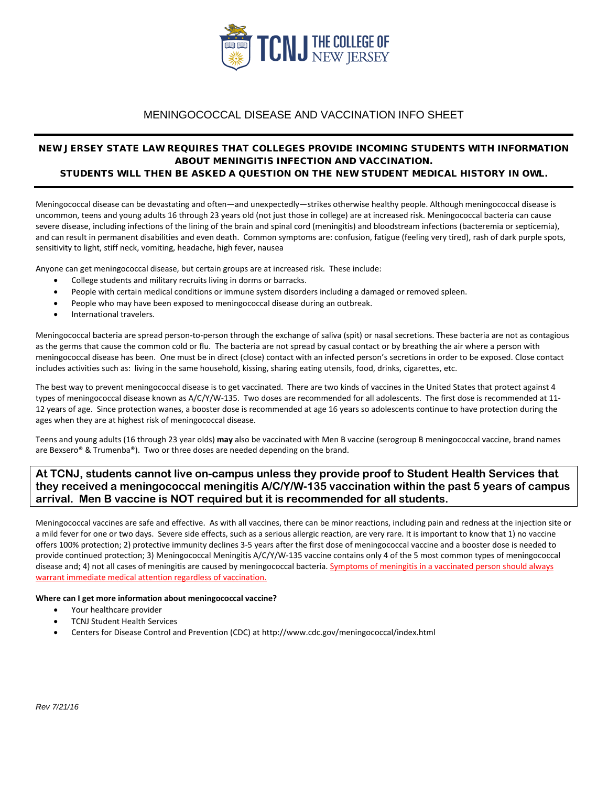

## MENINGOCOCCAL DISEASE AND VACCINATION INFO SHEET

### NEW JERSEY STATE LAW REQUIRES THAT COLLEGES PROVIDE INCOMING STUDENTS WITH INFORMATION ABOUT MENINGITIS INFECTION AND VACCINATION. STUDENTS WILL THEN BE ASKED A QUESTION ON THE NEW STUDENT MEDICAL HISTORY IN OWL.

Meningococcal disease can be devastating and often—and unexpectedly—strikes otherwise healthy people. Although meningococcal disease is uncommon, teens and young adults 16 through 23 years old (not just those in college) are at increased risk. Meningococcal bacteria can cause severe disease, including infections of the lining of the brain and spinal cord (meningitis) and bloodstream infections (bacteremia or septicemia), and can result in permanent disabilities and even death. Common symptoms are: confusion, fatigue (feeling very tired), rash of dark purple spots, sensitivity to light, stiff neck, vomiting, headache, high fever, nausea

Anyone can get meningococcal disease, but certain groups are at increased risk. These include:

- College students and military recruits living in dorms or barracks.
- People with certain medical conditions or immune system disorders including a damaged or removed spleen.
- People who may have been exposed to meningococcal disease during an outbreak.
- International travelers.

Meningococcal bacteria are spread person-to-person through the exchange of saliva (spit) or nasal secretions. These bacteria are not as contagious as the germs that cause the common cold or flu. The bacteria are not spread by casual contact or by breathing the air where a person with meningococcal disease has been. One must be in direct (close) contact with an infected person's secretions in order to be exposed. Close contact includes activities such as: living in the same household, kissing, sharing eating utensils, food, drinks, cigarettes, etc.

The best way to prevent meningococcal disease is to get vaccinated. There are two kinds of vaccines in the United States that protect against 4 types of meningococcal disease known as A/C/Y/W-135. Two doses are recommended for all adolescents. The first dose is recommended at 11- 12 years of age. Since protection wanes, a booster dose is recommended at age 16 years so adolescents continue to have protection during the ages when they are at highest risk of meningococcal disease.

Teens and young adults (16 through 23 year olds) **may** also be vaccinated with Men B vaccine (serogroup B meningococcal vaccine, brand names are Bexsero® & Trumenba®). Two or three doses are needed depending on the brand.

## **At TCNJ, students cannot live on-campus unless they provide proof to Student Health Services that they received a meningococcal meningitis A/C/Y/W-135 vaccination within the past 5 years of campus arrival. Men B vaccine is NOT required but it is recommended for all students.**

Meningococcal vaccines are safe and effective. As with all vaccines, there can be minor reactions, including pain and redness at the injection site or a mild fever for one or two days. Severe side effects, such as a serious allergic reaction, are very rare. It is important to know that 1) no vaccine offers 100% protection; 2) protective immunity declines 3-5 years after the first dose of meningococcal vaccine and a booster dose is needed to provide continued protection; 3) Meningococcal Meningitis A/C/Y/W-135 vaccine contains only 4 of the 5 most common types of meningococcal disease and; 4) not all cases of meningitis are caused by meningococcal bacteria. Symptoms of meningitis in a vaccinated person should always warrant immediate medical attention regardless of vaccination.

#### **Where can I get more information about meningococcal vaccine?**

- Your healthcare provider
- TCNJ Student Health Services
- Centers for Disease Control and Prevention (CDC) at<http://www.cdc.gov/meningococcal/index.html>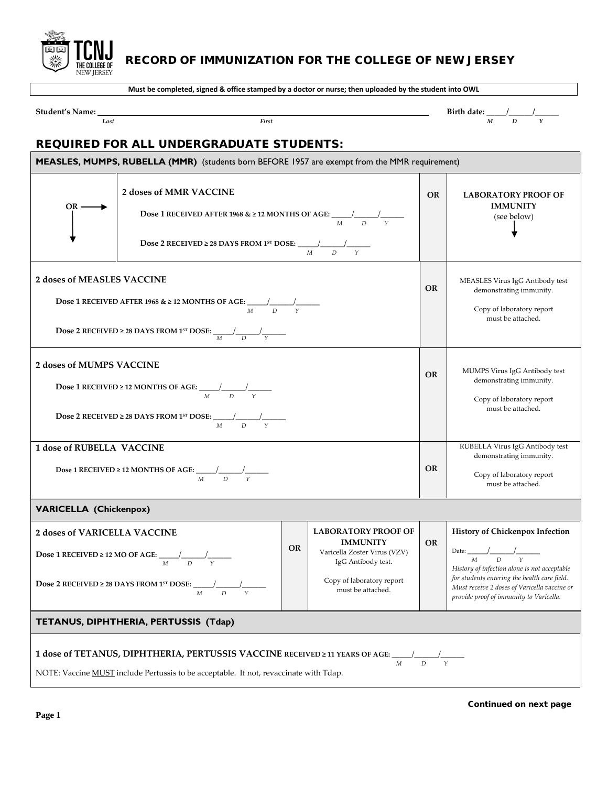

I UINU RECORD OF IMMUNIZATION FOR THE COLLEGE OF NEW JERSEY

**Must be completed, signed & office stamped by a doctor or nurse; then uploaded by the student into OWL**

**Student's Name:**  $\frac{1}{Last}$   $\frac{1}{Last}$   $\frac{1}{Last}$   $\frac{1}{Last}$   $\frac{1}{Last}$   $\frac{1}{Last}$   $\frac{1}{Last}$   $\frac{1}{Last}$   $\frac{1}{Last}$   $\frac{1}{Last}$   $\frac{1}{Last}$   $\frac{1}{Last}$   $\frac{1}{Last}$   $\frac{1}{Last}$   $\frac{1}{Last}$   $\frac{1}{Last}$   $\frac{1}{Last}$   $\frac{1}{Last}$   $\frac{1}{$ *Last First**M D Y*

h

# REQUIRED FOR ALL UNDERGRADUATE STUDENTS:

| MEASLES, MUMPS, RUBELLA (MMR) (students born BEFORE 1957 are exempt from the MMR requirement)                                                                                                                    |                                                                                                                                                                                                                               |           |                                                                                                                                                       |           |                                                                                                                                                                                                                                                                               |  |  |
|------------------------------------------------------------------------------------------------------------------------------------------------------------------------------------------------------------------|-------------------------------------------------------------------------------------------------------------------------------------------------------------------------------------------------------------------------------|-----------|-------------------------------------------------------------------------------------------------------------------------------------------------------|-----------|-------------------------------------------------------------------------------------------------------------------------------------------------------------------------------------------------------------------------------------------------------------------------------|--|--|
| OR -                                                                                                                                                                                                             | 2 doses of MMR VACCINE<br><b>Dose 1 RECEIVED AFTER 1968 &amp; <math>\geq</math> 12 MONTHS OF AGE:</b> $\frac{1}{M}$ $\frac{1}{D}$ $\frac{1}{\gamma}$<br>Dose 2 RECEIVED ≥ 28 DAYS FROM 1 <sup>st</sup> DOSE: $\frac{1}{M}$ D  |           |                                                                                                                                                       |           | <b>LABORATORY PROOF OF</b><br><b>IMMUNITY</b><br>(see below)                                                                                                                                                                                                                  |  |  |
| <b>2 doses of MEASLES VACCINE</b>                                                                                                                                                                                | <b>Dose 1 RECEIVED AFTER 1968 &amp; <math>\geq</math> 12 MONTHS OF AGE:</b> $\frac{1}{M}$ $\frac{1}{D}$ $\frac{1}{Y}$<br><b>Dose 2 RECEIVED ≥ 28 DAYS FROM 1<sup>5T</sup> DOSE:</b> $\frac{1}{M}$ $\frac{1}{D}$ $\frac{1}{Y}$ | <b>OR</b> | MEASLES Virus IgG Antibody test<br>demonstrating immunity.<br>Copy of laboratory report<br>must be attached.                                          |           |                                                                                                                                                                                                                                                                               |  |  |
| 2 doses of MUMPS VACCINE                                                                                                                                                                                         | <b>Dose 1 RECEIVED ≥ 12 MONTHS OF AGE:</b> $\frac{1}{M}$ $\frac{1}{D}$ $\frac{1}{Y}$<br><b>Dose 2 RECEIVED ≥ 28 DAYS FROM 1<sup>st</sup> DOSE:</b> $\frac{1}{M}$ D $\frac{1}{D}$ Y                                            | <b>OR</b> | MUMPS Virus IgG Antibody test<br>demonstrating immunity.<br>Copy of laboratory report<br>must be attached.                                            |           |                                                                                                                                                                                                                                                                               |  |  |
| <b>1 dose of RUBELLA VACCINE</b>                                                                                                                                                                                 | Dose 1 RECEIVED ≥ 12 MONTHS OF AGE: $\frac{1}{M}$ $\frac{1}{D}$ $\frac{1}{Y}$                                                                                                                                                 | <b>OR</b> | RUBELLA Virus IgG Antibody test<br>demonstrating immunity.<br>Copy of laboratory report<br>must be attached.                                          |           |                                                                                                                                                                                                                                                                               |  |  |
| <b>VARICELLA (Chickenpox)</b>                                                                                                                                                                                    |                                                                                                                                                                                                                               |           |                                                                                                                                                       |           |                                                                                                                                                                                                                                                                               |  |  |
| <b>2 doses of VARICELLA VACCINE</b>                                                                                                                                                                              | <b>Dose 1 RECEIVED</b> $\geq$ <b>12 MO OF AGE:</b> $\frac{1}{M}$ $\frac{1}{D}$ $\frac{1}{Y}$<br><b>Dose 2 RECEIVED</b> ≥ 28 DAYS FROM 1 <sup>st</sup> DOSE: $\frac{1}{M}$ D $\frac{1}{N}$ $\frac{1}{N}$                       | <b>OR</b> | <b>LABORATORY PROOF OF</b><br><b>IMMUNITY</b><br>Varicella Zoster Virus (VZV)<br>IgG Antibody test.<br>Copy of laboratory report<br>must be attached. | <b>OR</b> | History of Chickenpox Infection<br>Date: $\frac{1}{M}$ $\frac{1}{D}$ $\frac{1}{Y}$<br>History of infection alone is not acceptable<br>for students entering the health care field.<br>Must receive 2 doses of Varicella vaccine or<br>provide proof of immunity to Varicella. |  |  |
| TETANUS, DIPHTHERIA, PERTUSSIS (Tdap)                                                                                                                                                                            |                                                                                                                                                                                                                               |           |                                                                                                                                                       |           |                                                                                                                                                                                                                                                                               |  |  |
| 1 dose of TETANUS, DIPHTHERIA, PERTUSSIS VACCINE RECEIVED ≥ 11 YEARS OF AGE:<br>$\boldsymbol{M}$<br>$\overline{D}$<br>Y<br>NOTE: Vaccine MUST include Pertussis to be acceptable. If not, revaccinate with Tdap. |                                                                                                                                                                                                                               |           |                                                                                                                                                       |           |                                                                                                                                                                                                                                                                               |  |  |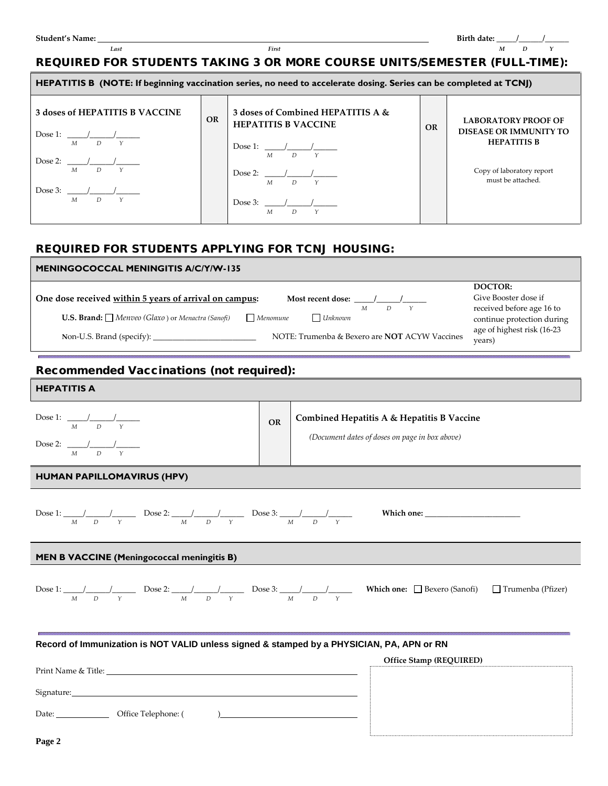Г

 *Last First**M D Y* 

## REQUIRED FOR STUDENTS TAKING 3 OR MORE COURSE UNITS/SEMESTER (FULL-TIME):

| HEPATITIS B (NOTE: If beginning vaccination series, no need to accelerate dosing. Series can be completed at TCNJ) |           |                                                                 |           |                                                             |  |  |  |  |
|--------------------------------------------------------------------------------------------------------------------|-----------|-----------------------------------------------------------------|-----------|-------------------------------------------------------------|--|--|--|--|
| 3 doses of HEPATITIS B VACCINE                                                                                     | <b>OR</b> | 3 doses of Combined HEPATITIS A &<br><b>HEPATITIS B VACCINE</b> | <b>OR</b> | <b>LABORATORY PROOF OF</b><br><b>DISEASE OR IMMUNITY TO</b> |  |  |  |  |
| $M$ $D$ $Y$                                                                                                        |           | Dose 1: $\frac{1}{\sqrt{2}}$<br>$M$ $D$ $Y$                     |           | <b>HEPATITIS B</b>                                          |  |  |  |  |
| $M$ $D$ $Y$                                                                                                        |           | Dose 2: $\frac{1}{2}$ /<br>$M$ $D$ $Y$                          |           | Copy of laboratory report<br>must be attached.              |  |  |  |  |
| $M$ $D$ $Y$                                                                                                        |           | Dose 3: $\frac{1}{2}$ /<br>D.<br>М                              |           |                                                             |  |  |  |  |

## REQUIRED FOR STUDENTS APPLYING FOR TCNJ HOUSING:

| <b>MENINGOCOCCAL MENINGITIS A/C/Y/W-135</b>                                                           |                                                         |  |  |  |  |  |  |
|-------------------------------------------------------------------------------------------------------|---------------------------------------------------------|--|--|--|--|--|--|
|                                                                                                       | DOCTOR:                                                 |  |  |  |  |  |  |
| One dose received within 5 years of arrival on campus:<br>Most recent dose:                           | Give Booster dose if                                    |  |  |  |  |  |  |
| D<br>М<br><b>U.S. Brand:</b> $\Box$ Menveo (Glaxo) or Menactra (Sanofi)<br>$\Box$ Unknown<br>Menomune | received before age 16 to<br>continue protection during |  |  |  |  |  |  |
| NOTE: Trumenba & Bexero are <b>NOT</b> ACYW Vaccines<br>Non-U.S. Brand (specify):                     | age of highest risk (16-23<br>years)                    |  |  |  |  |  |  |

## Recommended Vaccinations (not required):

| <b>HEPATITIS A</b>                                                                        |    |                                                                                                                                                                                                                  |
|-------------------------------------------------------------------------------------------|----|------------------------------------------------------------------------------------------------------------------------------------------------------------------------------------------------------------------|
| Dose 1: $\frac{1}{M}$ $\frac{1}{D}$ $\frac{1}{Y}$                                         | OR | Combined Hepatitis A & Hepatitis B Vaccine<br>(Document dates of doses on page in box above)                                                                                                                     |
| Dose 2: $\frac{1}{M}$ $\frac{1}{D}$ $\frac{1}{Y}$                                         |    |                                                                                                                                                                                                                  |
| <b>HUMAN PAPILLOMAVIRUS (HPV)</b>                                                         |    |                                                                                                                                                                                                                  |
|                                                                                           |    | Dose 1: $\frac{1}{M}$ $\frac{1}{D}$ $\frac{1}{Y}$ Dose 2: $\frac{1}{M}$ $\frac{1}{D}$ $\frac{1}{Y}$ Dose 3: $\frac{1}{M}$ $\frac{1}{D}$ $\frac{1}{Y}$ Which one:                                                 |
| <b>MEN B VACCINE (Meningococcal meningitis B)</b>                                         |    |                                                                                                                                                                                                                  |
|                                                                                           |    | Dose 1: $\frac{1}{M}$ $\frac{1}{D}$ $\frac{1}{Y}$ Dose 2: $\frac{1}{M}$ $\frac{1}{D}$ $\frac{1}{Y}$ Dose 3: $\frac{1}{M}$ $\frac{1}{D}$ $\frac{1}{Y}$ Which one: $\Box$ Bexero (Sanofi) $\Box$ Trumenba (Pfizer) |
| Record of Immunization is NOT VALID unless signed & stamped by a PHYSICIAN, PA, APN or RN |    |                                                                                                                                                                                                                  |
|                                                                                           |    | Office Stamp (REQUIRED)                                                                                                                                                                                          |
| Print Name & Title:                                                                       |    |                                                                                                                                                                                                                  |
|                                                                                           |    |                                                                                                                                                                                                                  |
|                                                                                           |    |                                                                                                                                                                                                                  |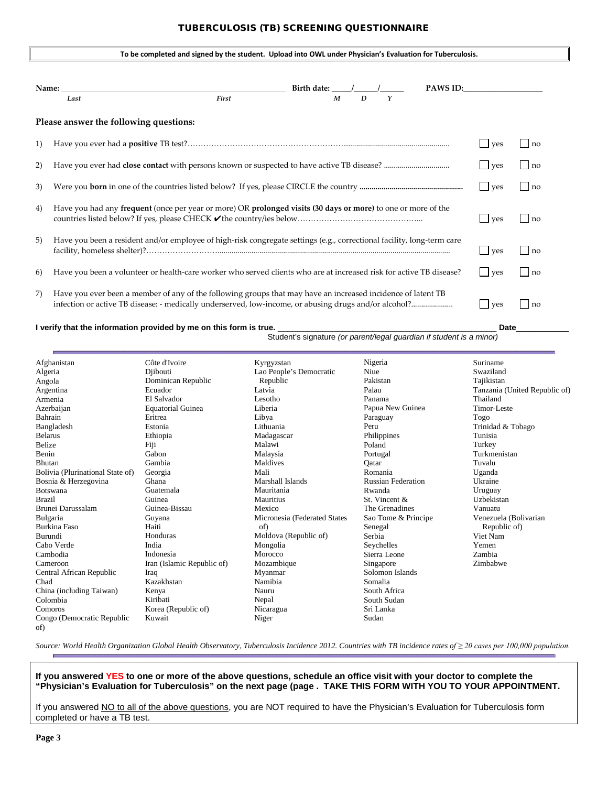### TUBERCULOSIS (TB) SCREENING QUESTIONNAIRE

|    |                                                                                                                        | To be completed and signed by the student. Upload into OWL under Physician's Evaluation for Tuberculosis. |                                  |                   |          |         |                    |
|----|------------------------------------------------------------------------------------------------------------------------|-----------------------------------------------------------------------------------------------------------|----------------------------------|-------------------|----------|---------|--------------------|
|    | Name: $\_\_$                                                                                                           |                                                                                                           | Birth date: $\frac{1}{\sqrt{2}}$ |                   | PAWS ID: |         |                    |
|    | Last                                                                                                                   | First                                                                                                     | $\boldsymbol{M}$                 | $\mathbf{D}$<br>Y |          |         |                    |
|    | Please answer the following questions:                                                                                 |                                                                                                           |                                  |                   |          |         |                    |
| 1) |                                                                                                                        |                                                                                                           |                                  |                   |          | yes     | $\ln 0$            |
| 2) |                                                                                                                        |                                                                                                           |                                  |                   |          | $ $ yes | $\Box$ no          |
| 3) |                                                                                                                        |                                                                                                           |                                  |                   |          | $ $ ves | $\ln 0$            |
| 4) | Have you had any frequent (once per year or more) OR prolonged visits (30 days or more) to one or more of the          |                                                                                                           |                                  |                   |          | ves     | $\ln 0$            |
| 5) | Have you been a resident and/or employee of high-risk congregate settings (e.g., correctional facility, long-term care |                                                                                                           |                                  |                   |          | $ $ ves | $\vert$   no       |
| 6) | Have you been a volunteer or health-care worker who served clients who are at increased risk for active TB disease?    |                                                                                                           |                                  |                   |          | $ $ ves | $\vert$ $\vert$ no |
| 7) | Have you ever been a member of any of the following groups that may have an increased incidence of latent TB           |                                                                                                           |                                  |                   |          | ves     | l Ino              |

#### **I verify that the information provided by me on this form is true.** \_\_\_\_\_\_\_\_\_\_\_\_\_\_\_\_\_\_\_\_\_\_\_\_\_\_\_\_\_\_\_\_\_\_\_\_\_\_\_\_\_\_\_\_ **Date**\_\_\_\_\_\_\_\_\_\_\_\_

Student's signature *(or parent/legal guardian if student is a minor)*

| Afghanistan                       | Côte d'Ivoire              | Kyrgyzstan                   | Nigeria                   | Suriname                      |
|-----------------------------------|----------------------------|------------------------------|---------------------------|-------------------------------|
| Algeria                           | Djibouti                   | Lao People's Democratic      | Niue                      | Swaziland                     |
| Angola                            | Dominican Republic         | Republic                     | Pakistan                  | Tajikistan                    |
| Argentina                         | Ecuador                    | Latvia                       | Palau                     | Tanzania (United Republic of) |
| Armenia                           | El Salvador                | Lesotho                      | Panama                    | Thailand                      |
| Azerbaijan                        | <b>Equatorial Guinea</b>   | Liberia                      | Papua New Guinea          | Timor-Leste                   |
| Bahrain                           | Eritrea                    | Libya                        | Paraguay                  | Togo                          |
| Bangladesh                        | Estonia                    | Lithuania                    | Peru                      | Trinidad & Tobago             |
| <b>Belarus</b>                    | Ethiopia                   | Madagascar                   | Philippines               | Tunisia                       |
| Belize                            | Fiji                       | Malawi                       | Poland                    | Turkey                        |
| Benin                             | Gabon                      | Malaysia                     | Portugal                  | Turkmenistan                  |
| Bhutan                            | Gambia                     | Maldives                     | Qatar                     | Tuvalu                        |
| Bolivia (Plurinational State of)  | Georgia                    | Mali                         | Romania                   | Uganda                        |
| Bosnia & Herzegovina              | Ghana                      | Marshall Islands             | <b>Russian Federation</b> | Ukraine                       |
| Botswana                          | Guatemala                  | Mauritania                   | Rwanda                    | Uruguay                       |
| <b>Brazil</b>                     | Guinea                     | Mauritius                    | St. Vincent &             | Uzbekistan                    |
| Brunei Darussalam                 | Guinea-Bissau              | Mexico                       | The Grenadines            | Vanuatu                       |
| Bulgaria                          | Guyana                     | Micronesia (Federated States | Sao Tome & Principe       | Venezuela (Bolivarian         |
| <b>Burkina Faso</b>               | Haiti                      | of)                          | Senegal                   | Republic of)                  |
| Burundi                           | Honduras                   | Moldova (Republic of)        | Serbia                    | Viet Nam                      |
| Cabo Verde                        | India                      | Mongolia                     | Seychelles                | Yemen                         |
| Cambodia                          | Indonesia                  | Morocco                      | Sierra Leone              | Zambia                        |
| Cameroon                          | Iran (Islamic Republic of) | Mozambique                   | Singapore                 | Zimbabwe                      |
| Central African Republic          | Iraq                       | Myanmar                      | Solomon Islands           |                               |
| Chad                              | Kazakhstan                 | Namibia                      | Somalia                   |                               |
| China (including Taiwan)          | Kenya                      | Nauru                        | South Africa              |                               |
| Colombia                          | Kiribati                   | Nepal                        | South Sudan               |                               |
| Comoros                           | Korea (Republic of)        | Nicaragua                    | Sri Lanka                 |                               |
| Congo (Democratic Republic<br>of) | Kuwait                     | Niger                        | Sudan                     |                               |

*Source: World Health Organization Global Health Observatory, Tuberculosis Incidence 2012. Countries with TB incidence rates of ≥ 20 cases per 100,000 population.* 

**If you answered YES to one or more of the above questions, schedule an office visit with your doctor to complete the "Physician's Evaluation for Tuberculosis" on the next page (page . TAKE THIS FORM WITH YOU TO YOUR APPOINTMENT.**

If you answered NO to all of the above questions, you are NOT required to have the Physician's Evaluation for Tuberculosis form completed or have a TB test.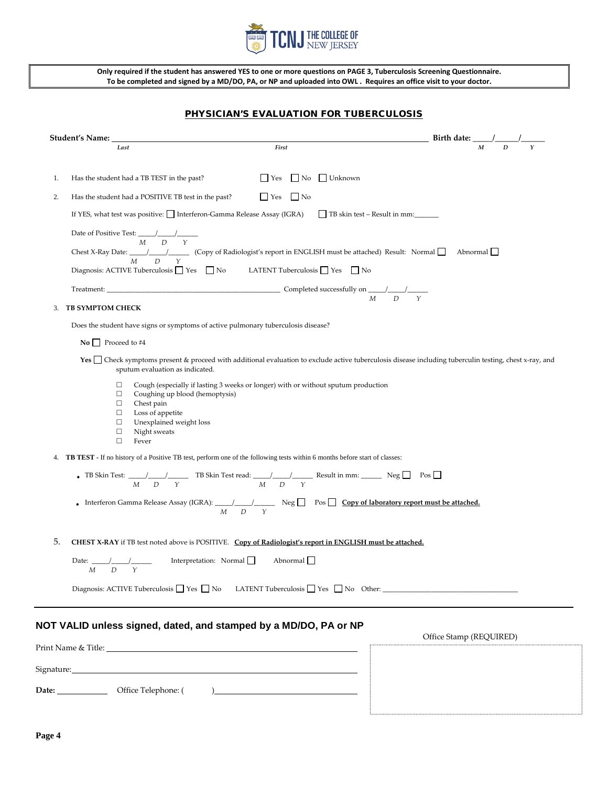

**Only required if the student has answered YES to one or more questions on PAGE 3, Tuberculosis Screening Questionnaire. To be completed and signed by a MD/DO, PA, or NP and uploaded into OWL . Requires an office visit to your doctor.**

## PHYSICIAN'S EVALUATION FOR TUBERCULOSIS

|    | Student's Name: __                                                                                                                                                                    | First                                                                                                                                                                    | $\frac{1}{M}$ Birth date: $\frac{1}{M}$ $\frac{1}{D}$                                                                                                   |
|----|---------------------------------------------------------------------------------------------------------------------------------------------------------------------------------------|--------------------------------------------------------------------------------------------------------------------------------------------------------------------------|---------------------------------------------------------------------------------------------------------------------------------------------------------|
|    | Last                                                                                                                                                                                  |                                                                                                                                                                          |                                                                                                                                                         |
| 1. | Has the student had a TB TEST in the past?                                                                                                                                            | $\Box$ Yes<br>No Unknown                                                                                                                                                 |                                                                                                                                                         |
| 2. | Has the student had a POSITIVE TB test in the past?                                                                                                                                   | $\Box$ Yes $\Box$ No                                                                                                                                                     |                                                                                                                                                         |
|    |                                                                                                                                                                                       | If YES, what test was positive: Interferon-Gamma Release Assay (IGRA) TB skin test - Result in mm:                                                                       |                                                                                                                                                         |
|    | Date of Positive Test: $\frac{1}{M}$ / $\frac{1}{D}$ / $\frac{1}{\gamma}$                                                                                                             |                                                                                                                                                                          |                                                                                                                                                         |
|    |                                                                                                                                                                                       | Chest X-Ray Date: $\frac{1}{M}$ $\frac{1}{D}$ $\frac{1}{Y}$ (Copy of Radiologist's report in ENGLISH must be attached) Result: Normal                                    | Abnormal                                                                                                                                                |
|    | Diagnosis: ACTIVE Tuberculosis $\Box$ Yes $\Box$ No                                                                                                                                   | LATENT Tuberculosis $\Box$ Yes $\Box$ No                                                                                                                                 |                                                                                                                                                         |
|    |                                                                                                                                                                                       |                                                                                                                                                                          |                                                                                                                                                         |
| 3. | <b>TB SYMPTOM CHECK</b>                                                                                                                                                               |                                                                                                                                                                          |                                                                                                                                                         |
|    | Does the student have signs or symptoms of active pulmonary tuberculosis disease?                                                                                                     |                                                                                                                                                                          |                                                                                                                                                         |
|    | $\bf{No}$ Proceed to #4                                                                                                                                                               |                                                                                                                                                                          |                                                                                                                                                         |
|    | sputum evaluation as indicated.                                                                                                                                                       |                                                                                                                                                                          | Yes □ Check symptoms present & proceed with additional evaluation to exclude active tuberculosis disease including tuberculin testing, chest x-ray, and |
|    | □<br>$\Box$<br>Coughing up blood (hemoptysis)<br>$\Box$<br>Chest pain<br>Loss of appetite<br>$\Box$<br>$\Box$<br>Unexplained weight loss<br>$\Box$<br>Night sweats<br>$\Box$<br>Fever | Cough (especially if lasting 3 weeks or longer) with or without sputum production                                                                                        |                                                                                                                                                         |
|    |                                                                                                                                                                                       | 4. <b>TB TEST</b> - If no history of a Positive TB test, perform one of the following tests within 6 months before start of classes:                                     |                                                                                                                                                         |
|    |                                                                                                                                                                                       | • TB Skin Test: $\frac{1}{M}$ $\frac{1}{D}$ $\frac{1}{Y}$ TB Skin Test read: $\frac{1}{M}$ $\frac{1}{D}$ $\frac{1}{Y}$ Result in mm: $\frac{1}{M}$ Neg $\Box$ Pos $\Box$ |                                                                                                                                                         |
|    |                                                                                                                                                                                       | - Interferon Gamma Release Assay (IGRA): $\frac{1}{M}$ $\frac{1}{D}$ $\frac{1}{Y}$ Neg $\Box$ Pos $\Box$ Copy of laboratory report must be attached.                     |                                                                                                                                                         |
| 5. |                                                                                                                                                                                       | CHEST X-RAY if TB test noted above is POSITIVE. Copy of Radiologist's report in ENGLISH must be attached.                                                                |                                                                                                                                                         |
|    | Date: / / / Interpretation: Normal<br>$M$ $D$ $Y$                                                                                                                                     | Abnormal $\Box$                                                                                                                                                          |                                                                                                                                                         |
|    |                                                                                                                                                                                       | Diagnosis: ACTIVE Tuberculosis $\Box$ Yes $\Box$ No LATENT Tuberculosis $\Box$ Yes $\Box$ No Other:                                                                      |                                                                                                                                                         |
|    |                                                                                                                                                                                       |                                                                                                                                                                          |                                                                                                                                                         |
|    | NOT VALID unless signed, dated, and stamped by a MD/DO, PA or NP                                                                                                                      |                                                                                                                                                                          |                                                                                                                                                         |
|    |                                                                                                                                                                                       |                                                                                                                                                                          | Office Stamp (REQUIRED)                                                                                                                                 |
|    | Signature: 2008 Communication of the Signature:                                                                                                                                       |                                                                                                                                                                          |                                                                                                                                                         |
|    |                                                                                                                                                                                       |                                                                                                                                                                          |                                                                                                                                                         |